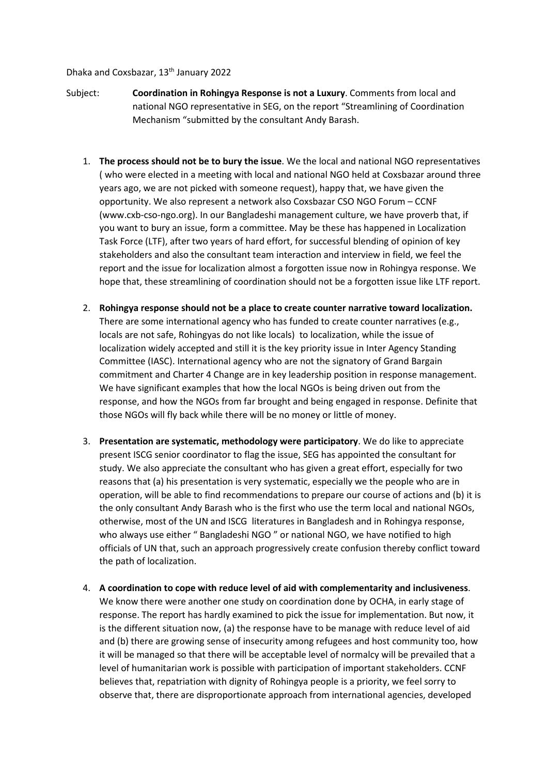## Dhaka and Coxsbazar, 13<sup>th</sup> January 2022

- Subject: **Coordination in Rohingya Response is not a Luxury**. Comments from local and national NGO representative in SEG, on the report "Streamlining of Coordination Mechanism "submitted by the consultant Andy Barash.
	- 1. **The process should not be to bury the issue**. We the local and national NGO representatives ( who were elected in a meeting with local and national NGO held at Coxsbazar around three years ago, we are not picked with someone request), happy that, we have given the opportunity. We also represent a network also Coxsbazar CSO NGO Forum – CCNF (www.cxb-cso-ngo.org). In our Bangladeshi management culture, we have proverb that, if you want to bury an issue, form a committee. May be these has happened in Localization Task Force (LTF), after two years of hard effort, for successful blending of opinion of key stakeholders and also the consultant team interaction and interview in field, we feel the report and the issue for localization almost a forgotten issue now in Rohingya response. We hope that, these streamlining of coordination should not be a forgotten issue like LTF report.
	- 2. **Rohingya response should not be a place to create counter narrative toward localization.** There are some international agency who has funded to create counter narratives (e.g., locals are not safe, Rohingyas do not like locals) to localization, while the issue of localization widely accepted and still it is the key priority issue in Inter Agency Standing Committee (IASC). International agency who are not the signatory of Grand Bargain commitment and Charter 4 Change are in key leadership position in response management. We have significant examples that how the local NGOs is being driven out from the response, and how the NGOs from far brought and being engaged in response. Definite that those NGOs will fly back while there will be no money or little of money.
	- 3. **Presentation are systematic, methodology were participatory**. We do like to appreciate present ISCG senior coordinator to flag the issue, SEG has appointed the consultant for study. We also appreciate the consultant who has given a great effort, especially for two reasons that (a) his presentation is very systematic, especially we the people who are in operation, will be able to find recommendations to prepare our course of actions and (b) it is the only consultant Andy Barash who is the first who use the term local and national NGOs, otherwise, most of the UN and ISCG literatures in Bangladesh and in Rohingya response, who always use either " Bangladeshi NGO " or national NGO, we have notified to high officials of UN that, such an approach progressively create confusion thereby conflict toward the path of localization.
	- 4. **A coordination to cope with reduce level of aid with complementarity and inclusiveness**. We know there were another one study on coordination done by OCHA, in early stage of response. The report has hardly examined to pick the issue for implementation. But now, it is the different situation now, (a) the response have to be manage with reduce level of aid and (b) there are growing sense of insecurity among refugees and host community too, how it will be managed so that there will be acceptable level of normalcy will be prevailed that a level of humanitarian work is possible with participation of important stakeholders. CCNF believes that, repatriation with dignity of Rohingya people is a priority, we feel sorry to observe that, there are disproportionate approach from international agencies, developed